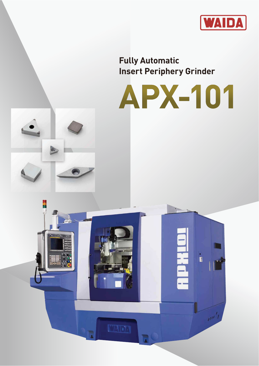

**Fully Automatic Insert Periphery Grinder**





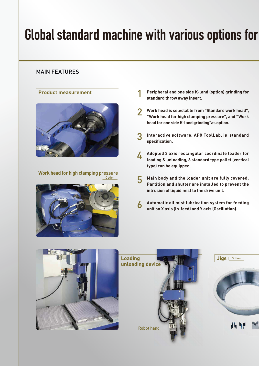# Global standard machine with various options for

### MAIN FEATURES

### **Product measurement**



**Work head for high clamping pressure Option** 



- **Peripheral and one side K-land (option) grinding for standard throw away insert.** 1
- **Work head is selectable from "Standard work head", "Work head for high clamping pressure", and "Work head for one side K-land grinding"as option.** 2
- **Interactive software, APX ToolLab, is standard specification.** 3
- **Adopted 3 axis rectangular coordinate loader for loading & unloading, 3 standard type pallet (vertical type) can be equipped.** 4
- **Main body and the loader unit are fully covered. Partition and shutter are installed to prevent the intrusion of liquid mist to the drive unit.** 5
- **Automatic oil mist lubrication system for feeding unit on X axis (In-feed) and Y axis (Oscillation).** 6

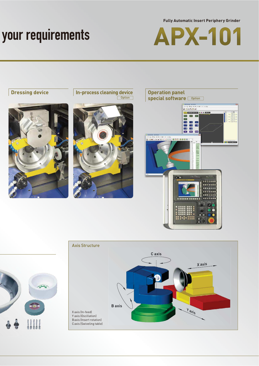# your requirements

**Fully Automatic Insert Periphery Grinder**





**Dressing device In-process cleaning device Depending device Operation panel**<br>
special software